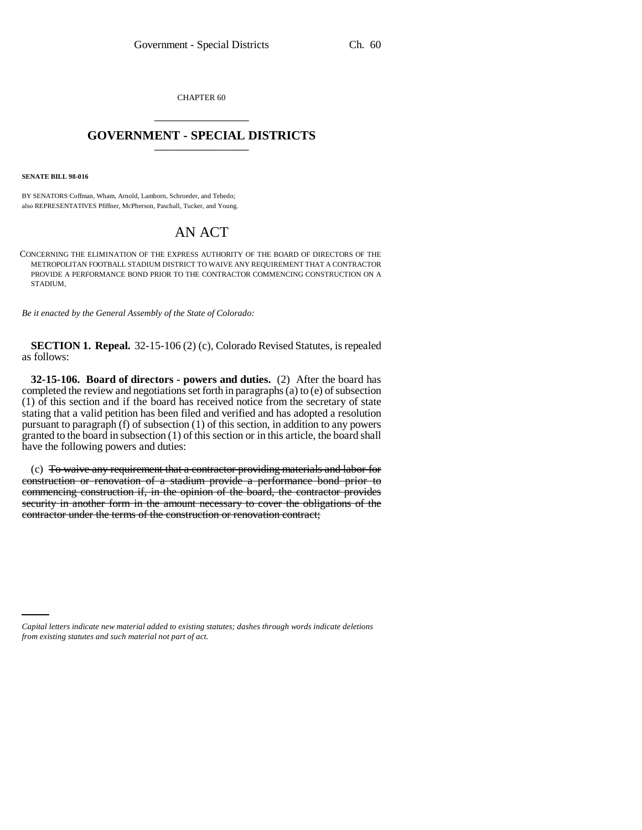CHAPTER 60 \_\_\_\_\_\_\_\_\_\_\_\_\_\_\_

## **GOVERNMENT - SPECIAL DISTRICTS** \_\_\_\_\_\_\_\_\_\_\_\_\_\_\_

**SENATE BILL 98-016**

BY SENATORS Coffman, Wham, Arnold, Lamborn, Schroeder, and Tebedo; also REPRESENTATIVES Pfiffner, McPherson, Paschall, Tucker, and Young.

## AN ACT

CONCERNING THE ELIMINATION OF THE EXPRESS AUTHORITY OF THE BOARD OF DIRECTORS OF THE METROPOLITAN FOOTBALL STADIUM DISTRICT TO WAIVE ANY REQUIREMENT THAT A CONTRACTOR PROVIDE A PERFORMANCE BOND PRIOR TO THE CONTRACTOR COMMENCING CONSTRUCTION ON A STADIUM.

*Be it enacted by the General Assembly of the State of Colorado:*

**SECTION 1. Repeal.** 32-15-106 (2) (c), Colorado Revised Statutes, is repealed as follows:

**32-15-106. Board of directors - powers and duties.** (2) After the board has completed the review and negotiations set forth in paragraphs (a) to (e) of subsection (1) of this section and if the board has received notice from the secretary of state stating that a valid petition has been filed and verified and has adopted a resolution pursuant to paragraph (f) of subsection (1) of this section, in addition to any powers granted to the board in subsection (1) of this section or in this article, the board shall have the following powers and duties:

(c) To waive any requirement that a contractor providing materials and labor for construction or renovation of a stadium provide a performance bond prior to commencing construction if, in the opinion of the board, the contractor provides security in another form in the amount necessary to cover the obligations of the contractor under the terms of the construction or renovation contract;

*Capital letters indicate new material added to existing statutes; dashes through words indicate deletions from existing statutes and such material not part of act.*